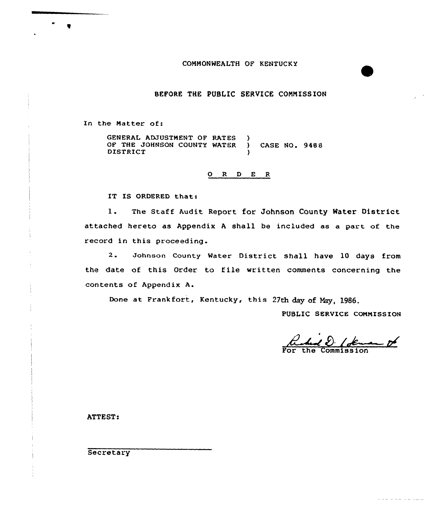#### COMMONWEALTH OF KENTUCKY

# BEFORE THE PUBLIC SERUICE CONNISSION

In the Hatter of:

GENERAL ADJUSTMENT OF RATES OF THE JOHNSON COUNTY WATER ) CASE NO. 9488 **DISTRICT** 

#### 0 R <sup>D</sup> E R

IT IS ORDERED that:

1. The Staff Audit Report for Johnson County Water District attached hereto as Appendix <sup>A</sup> shall be included as a part of the record in this proceeding.

2. Johnson County Water District shall have <sup>10</sup> days from the date of this Order to file written comments concerning the contents of Appendix A.

Done at Frankfort, Kentucky, this 27th day of Nay, l986.

PUBLIC SERVICE COMMISSION

Commission

فتتفاوض والمحاوية والمحافر

ATTEST:

**Secretary** 

 $\bullet$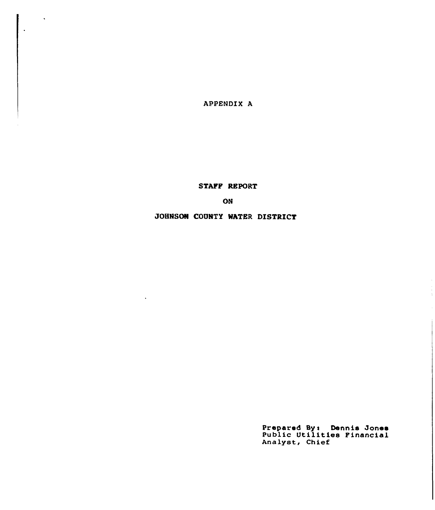APPENDIX A

 $\hat{\mathbf{v}}$ 

STAFF REPORT

ON

JOHNSON CODNTY WATER DISTRICT

 $\ddot{\phantom{a}}$ 

Prepared By: Dennis Jones<br>Public Utilities Financial Analyst, Chief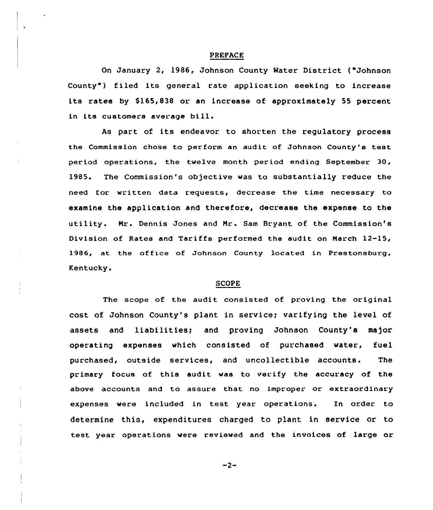#### PREPACE

On January 2, 1986, Johnson County Water District ("Johnson County") filed its general rate application seeking to increase its rates by  $$165,838$  or an increase of approximately 55 percent in its customers average bill.

As part of its endeavor to shorten the regulatory process the Commission chose to perform an audit of Johnson County's test period operations, the twelve month period ending September 30, 1985. The Commission's objective was to substantially reduce the need for written data requests, decrease the time necessary to examine the application and therefore, decrease the expense to the utility. Mr. Dennis Jones and Mr. Sam Bryant of the Commission's Division of Rates and Tariffs performed the audit on March 12-15, 1986, at the office of Johnson County located in Prestonsburg, Kentucky.

#### SCOPE

The scope of the audit consisted of proving the original cost of Johnson County's plant in service; varifying the level of assets and liabilities; and proving Johnson County's major operating expenses which consisted of purchased water, fuel purchased, outside services, and uncollectible accounts. The primary focus of this audit was to verify the accuracy of the above accounts and to assure that no improper or extraordinary expenses were included in test year operations. In order to determine this, expenditures charged to plant in service or to test year operations were reviewed and the invoices of large or

 $-2-$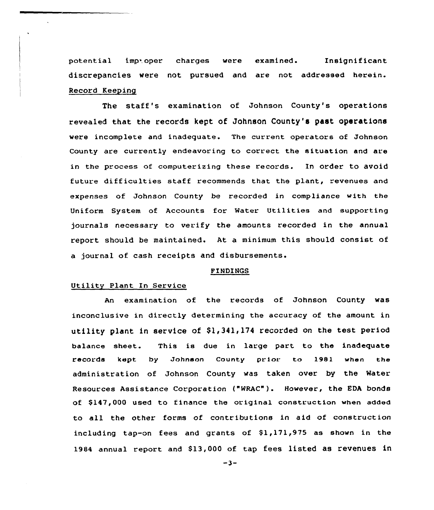potential imp.oper charges were examined. Insignific discrepancies were not pursued and are not addressed herein. Record Keeping

The staff's examination of Johnson County's operations revealed that the records kept of Johnson County's past operations were incomplete and inadequate. The current operators of Johnson County are currently endeavoring to correct the situation and are in the process of computerizing these records. In order to avoid future difficulties staff recommends that the plant, revenues and expenses of Johnson County be recorded in compliance with the Uniform System of Accounts for Water Utilities and supporting journals necessary to verify the amounts recorded in the annual report should be maintained. At a minimum this should consist of a journal of. cash receipts and disbursements.

#### PINDINGS

## Utility Plant In Service

An examination of the records of Johnson County was inconclusive in directly determining the accuracy of the amount in utility plant in service of \$1,341,174 recorded on the test period balance sheet. This is due in large part to the inadequate records kept by Johnson county prior. to 1981 when the administration of Johnson County was taken over by the Water Resources Assistance Corporation ("WRAC" ). However, the EDA bonds of \$147,000 used to finance the original construction when added to all the other forms of contributions in aid of construction including tap-on fees and grants of  $$1,171,975$  as shown in the 1984 annual report and \$13,000 of tap fees listed as revenues in

 $-3-$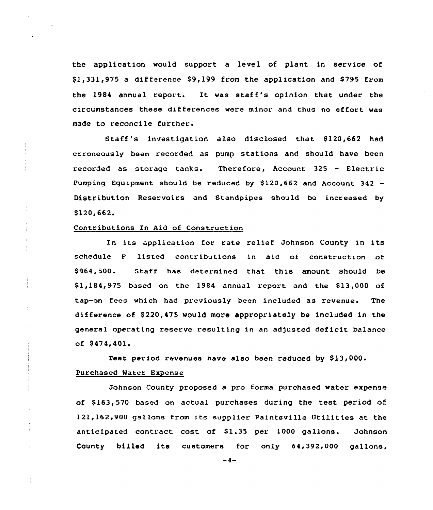the application would support a level of plant in service of  $$1,331,975$  a difference  $$9,199$  from the application and  $$795$  from the 1984 annual report. It was staff's opinion that under the circumstances these differences were minor and thus no effort was made to reconcile further.

Staff's investigation also disclosed that \$120,662 had erroneously been recorded as pump stations and should have been recorded as storage tanks. Therefore, Account 325 - Electric Pumping Equipment should be reduced by  $$120,662$  and Account 342 -Distribution Reservoirs and Standpipes should be increased by \$120,662

## Contributions In Aid of Construction

In its application for rate relief Johnson County in its schedule <sup>F</sup> listed contributions in aid of construction of \$ 964,500. Staff has determined that this amount should be \$1,184,975 based on the 1984 annual report and the \$13,000 of tap-on fees which had previously been included as revenue. The difference of \$220,475 would more appropriately be included in the general operating reserve resulting in an adjusted deficit balance of  $$474,401.$ 

Test period revenues have also been reduced by \$

## Purchased Water Expense

Johnson County proposed a pro forma purchased water expense of \$163,570 based on actual purchases during the test period of 121,162,900 gallons from its supplier Paintsville Utilities at the anticipated contract cost of \$1.35 per 1000 gallons. Johnson County billed its customers for only 64,392,000 gallons,

 $-4-$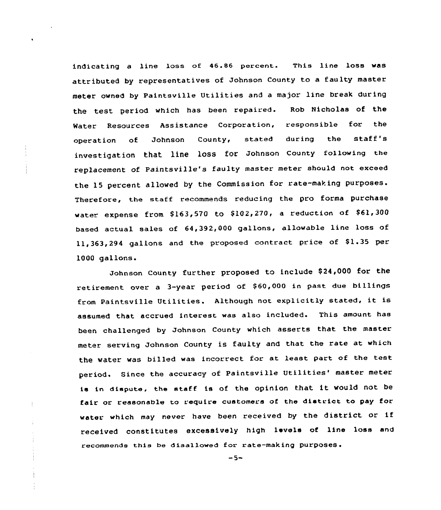indicating <sup>a</sup> line loss of 46.86 percent. This line loss was attributed by representatives of Johnson County to <sup>a</sup> faulty master meter owned by Paintsville Utilities and <sup>a</sup> major line break during the test period which has been repaired. Rob Nicholas of the Water Resources Assistance Corporation, responsible for the operation of Johnson County, stated during the staff' investigation that line loss for Johnson county following the replacement of Paintsville's faulty master meter should not exceed the 15 percent allowed by the Commission for rate-making purposes. Therefore, the staff recommends reducing the pro forma purchase water expense from  $$163,570$  to  $$102,270$ , a reduction of  $$61,300$ based actual sales of 64,392,000 gallons, allowable line loss of 11,363,294 gallons and the proposed contract price of \$1.35 per 1000 gallons.

Johnson County further proposed to include \$24,000 for the retirement over a 3-year period of \$60,000 in past due billings from Paintsville Utilities. Although not explicitly stated, it is assumed that accrued interest was also included. This amount has been challenged by Johnson County which asserts that the master meter serving Johnson County is faulty and that the rate at which the water was billed was incorrect for at least part of the test period. Since the accuracy of Paintsville Utilities' master meter is in dispute, the staff is of the opinion that it would not be fair or reasonable to require customers of the district to pay for water which may never have been received by the district or if received constitutes excessively high levels of line loss and recommends this be disallowed for rate-making purposes.

 $\frac{1}{2}$ 

 $-5-$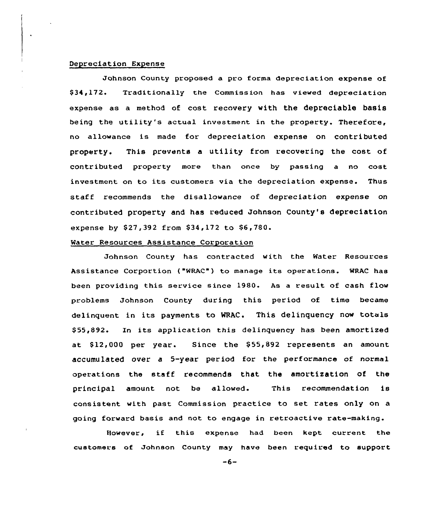## Depreciat ion Expense

Johnson County proposed a pro forma depreciation expense of \$ 34,172. Traditionally the Commission has viewed depreciation expense as a method of cost recovery with the depreciable basis being the utility's actual investment in the property. Therefore, no allowance is made for depreciation expense on contributed property. This prevents a utility from recovering the cost of contributed property more than once by passing a no cost investment on to its customers via the depreciation expense. Thus staff recommends the disallowance of depreciation expense on contributed property and has reduced Johnson County's depreciation expense by \$27,392 from \$34,172 to \$6,780.

## Water Resources Assistance Corporation

Johnson County has contracted with the Water Resources Assistance Corportion ("WRAC" ) to manage its operations. WRAC has been providing this service since 1980. As a result of cash flow problems Johnson County during this period of time became delinquent in its payments to WRAC. This delinquency now totals \$ 55,892. In its application this delinquency has been amortized at \$12,000 per year. Since the \$55,892 represents an amount accumulated over a 5-year period for the performance of normal operations the staff recommends that the amortization of the principal amount not be allowed. This recommendation is consistent with past Commission practice to set rates only on a going forward basis and not to engage in retroactive rate-making.

However, if this expense had been kept current the customers of Johnson County may have been required to support

 $-6-$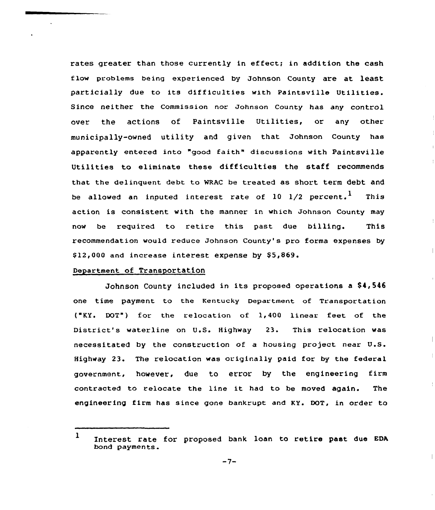rates greater than those currently in effect; in addition the cash flow problems being experienced by Johnson County are at least particially due to its difficulties with Paintsville Utilities. Since neither the Commission nor Johnson County has any control over the actions of Paintsville Utilities, or any other municipally-owned utility and given that Johnson County has apparently entered into "good faith" discussions with Paintsville Utilities to eliminate these difficulties the staff recommends that the delinquent debt to WRAC be treated as short term debt and be allowed an inputed interest rate of  $10$   $1/2$  percent.<sup>1</sup> This action is consistent with the manner in which Johnson County may now be required to retire this past due billing. This recommendation would reduce Johnson County's pro forma expenses by  $$12,000$  and increase interest expense by  $$5,869$ .

# Department of Transportation

Johnson County included in its proposed cperations a \$4,546 one time payment to the Kentucky Department of Transportation ("KY. DOT") for the relocation of 1,400 linear feet of the District's waterline on U.S. Highway 23. This relocation was necessitated by the construction of a housing project near U.S. Highway 23. The relocation was originally paid for by the federal government, however, due to error by the engineering firm contracted to relocate the line it had to be moved again. The engineering firm has since gone bankrupt and KY. DOT, in order to

<sup>1</sup> Interest rate for proposed bank loan to retire past due EDA bond payments.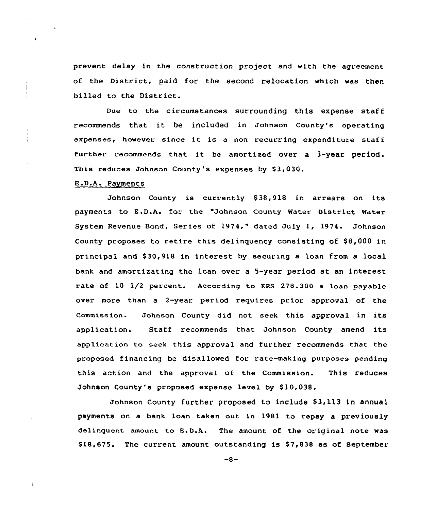prevent delay in the construction project and with the agreement of the District, paid for the second relocation which was then billed to the District.

Due to the circumstances surrounding this expense staff recommends that it be included in Johnson County's operating expenses, however since it is <sup>a</sup> non recurring expenditure staff further recommends that it be amortized over <sup>a</sup> 3-year period. This reduces Johnson County's expenses by \$3,030.

## E.D.A. Payments

 $\mathbf{r}$  and  $\mathbf{r}$ 

and a contract

 $\mathbf{L}$ 

÷.

Ť.

Johnson County is currently \$38,918 in arrears on its payments to E.D.A. for the "Johnson County Water District Water System Revenue Bond, Series of 1974," dated July 1, 1974. Johnson County proposes to retire this delinquency consisting of \$8,000 in principal and \$ 30,918 in interest by securing a loan from a local bank and amortizating the lean over a 5-year period at an interest rate of 10 1/2 percent. According to KRS 278.300 a loan payable over more than a 2-year period requires prior approval of the Commission« Johnson County did not seek this approval in its application. Staff recommends that Johnson County amend its application to seek this approval and further recommends that the proposed financing be disallowed for rate-making purposes pending this action and the approval of the Commission. This reduces Johnson County's proposed expense level by \$10,038.

Johnson County further proposed to include \$3,113 in annual payments on a bank loan taken out in 1981 to repay a previously delinquent amount to E.D.A. The amount of the original note was  $$18,675.$  The current amount outstanding is  $$7,838$  as of September

 $-8-$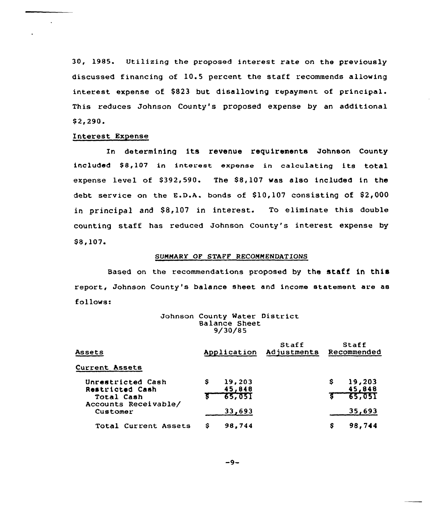30, 1985. Utilizing the proposed interest rate on the previously discussed financing of 10.5 percent the staff recommends allowing interest expense of \$823 but disallowing repayment of principal. This reduces Johnson County's proposed expense by an additional  $$2, 290.$ 

## Interest Expense

In determining its revenue requirements Johnson County included \$8,107 in interest expense in calculating its total expense level of  $$392,590$ . The  $$8,107$  was also included in the debt service on the E.D.A. bonds of  $$10,107$  consisting of  $$2,000$ in principal and \$8,107 in interest. To eliminate this double counting staff has reduced Johnson County's interest expense by \$8,107.

## SUMMARY OF STAFF RECOMMENDATIONS

Based on the recommendations proposed by the staff in this report, Johnson County's balance sheet and income statement are as follows:

| Johnson County Water District |               |  |  |
|-------------------------------|---------------|--|--|
|                               | Balance Sheet |  |  |
|                               | 9/30/85       |  |  |

| Assets                                             | Application                             | Staff<br>Adjustments | <b>Staff</b><br>Recommended     |
|----------------------------------------------------|-----------------------------------------|----------------------|---------------------------------|
| <b>Current Assets</b>                              |                                         |                      |                                 |
| Unrestricted Cash<br>Restricted Cash<br>Total Cash | s<br>19,203<br>45,848<br><u> 85,051</u> |                      | 19,203<br>s<br>45,848<br>65,051 |
| Accounts Receivable/<br>Customer                   | 33,693                                  |                      | 35,693                          |
| Total Current Assets                               | S<br>98,744                             |                      | 98,744<br>s                     |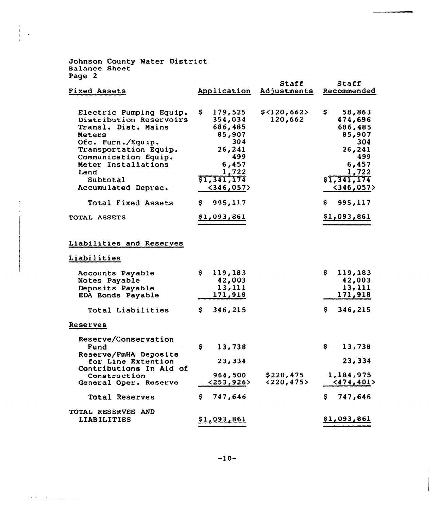Johnson County Water Distric Balance Sheet Page 2

 $\begin{minipage}[b]{0.00\textwidth} \centering \begin{minipage}[b]{0.00\textwidth} \centering \centering \end{minipage} \begin{minipage}[b]{0.00\textwidth} \centering \centering \end{minipage} \begin{minipage}[b]{0.00\textwidth} \centering \centering \end{minipage} \begin{minipage}[b]{0.00\textwidth} \centering \centering \end{minipage} \begin{minipage}[b]{0.00\textwidth} \centering \centering \end{minipage} \begin{minipage}[b]{0.00\textwidth} \centering \centering \end{minipage} \begin{minipage}[b]{0.00\textwidth} \centering$ 

|                                                                                                                                                                                                                                                   |                                                                                                                                     | Staff                     | Staff                                                                                                                                  |
|---------------------------------------------------------------------------------------------------------------------------------------------------------------------------------------------------------------------------------------------------|-------------------------------------------------------------------------------------------------------------------------------------|---------------------------|----------------------------------------------------------------------------------------------------------------------------------------|
| <b>Fixed Assets</b>                                                                                                                                                                                                                               | Application                                                                                                                         | Adjustments               | Recommended                                                                                                                            |
| Electric Pumping Equip.<br>Distribution Reservoirs<br>Transl. Dist. Mains<br>Meters<br>Ofc. Furn./Equip.<br>Transportation Equip.<br>Communication Equip.<br>Meter Installations<br>Land<br>Subtotal<br>Accumulated Deprec.<br>Total Fixed Assets | Ş.<br>179,525<br>354,034<br>686,485<br>85,907<br>304<br>26,241<br>499<br>6,457<br>1,722<br>\$1,341,174<br>$<$ 346,057><br>\$995,117 | \$<120,662><br>120,662    | \$<br>58,863<br>474,696<br>686,485<br>85,907<br>304<br>26,241<br>499<br>6,457<br>1,722<br>\$1,341,174<br>$<$ 346,057><br>S.<br>995,117 |
| TOTAL ASSETS                                                                                                                                                                                                                                      | \$1,093,861                                                                                                                         |                           | \$1,093,861                                                                                                                            |
| Liabilities and Reserves<br>Liabilities<br>Accounts Payable                                                                                                                                                                                       | \$<br>119,183                                                                                                                       |                           | \$<br>119,183                                                                                                                          |
| Notes Payable<br>Deposits Payable<br>EDA Bonds Payable                                                                                                                                                                                            | 42,003<br>13,111<br>171,918                                                                                                         |                           | 42,003<br>13,111<br>171,918                                                                                                            |
| Total Liabilities                                                                                                                                                                                                                                 | 346,215<br>S.                                                                                                                       |                           | \$<br>346,215                                                                                                                          |
| <b>Reserves</b>                                                                                                                                                                                                                                   |                                                                                                                                     |                           |                                                                                                                                        |
| Reserve/Conservation<br>Fund<br>Reserve/FmHA Deposits<br>for Line Extention<br>Contributions In Aid of<br>Construction                                                                                                                            | \$<br>13,738<br>23,334<br>964,500<br>< 253, 926                                                                                     | \$220,475<br>$<$ 220,475> | \$<br>13,738<br>23,334<br>1,184,975<br>$\langle 474, 401 \rangle$                                                                      |
| General Oper. Reserve                                                                                                                                                                                                                             |                                                                                                                                     |                           |                                                                                                                                        |
| <b>Total Reserves</b>                                                                                                                                                                                                                             | \$747,646                                                                                                                           |                           | S.<br>747,646                                                                                                                          |
| <b>TOTAL RESERVES AND</b><br>LIABILITIES                                                                                                                                                                                                          | \$1,093,861                                                                                                                         |                           | \$1,093,861                                                                                                                            |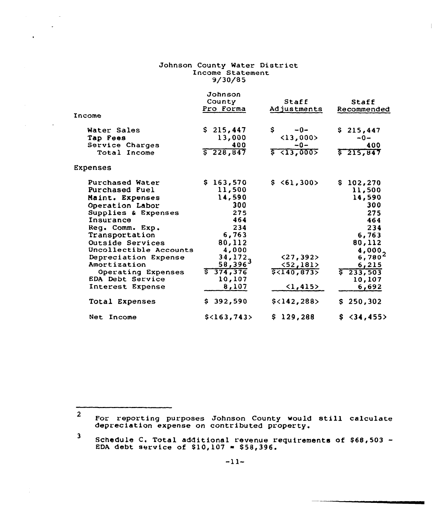# Johnson County Water Distric Income Statemen  $9/30/85$

 $\overline{a}$ 

 $\sim 100$ 

 $\bullet$ 

 $\mathbb{R}$ 

|                        | Johnson          |                           |                         |
|------------------------|------------------|---------------------------|-------------------------|
|                        | County           | Staff                     | Staff                   |
|                        | Pro Forma        | Adjustments               | Recommended             |
| Income                 |                  |                           |                         |
| Water Sales            | \$215,447        | \$.<br>$-0-$              | \$215,447               |
| Tap Fees               | 13,000           | $\langle 13, 000 \rangle$ | $-0-$                   |
| Service Charges        | 400              | $-0-$                     | 400                     |
| Total Income           | $\sqrt{228,847}$ | $5$ $(13,000)$            | \$215,847               |
| Expenses               |                  |                           |                         |
| Purchased Water        | \$163,570        | \$ 61,300>                | \$102,270               |
| Purchased Fuel         | 11,500           |                           | 11,500                  |
| Maint. Expenses        | 14,590           |                           | 14,590                  |
| Operation Labor        | 300              |                           | 300                     |
| Supplies & Expenses    | 275              |                           | 275                     |
| Insurance              | 464              |                           | 464                     |
| Reg. Comm. Exp.        | 234              |                           | 234                     |
| Transportation         | 6,763            |                           | 6,763                   |
| Outside Services       | 80,112           |                           | 80,112                  |
| Uncollectible Accounts | 4,000            |                           |                         |
| Depreciation Expense   | 34,172,          | (27, 392)                 | $\frac{4,000}{6,780^2}$ |
| Amortization           | $58,396^3$       | <52,181                   | 6,215                   |
| Operating Expenses     | \$374,376        | 5<140,873                 | 233,503                 |
| EDA Debt Service       | 10,107           |                           | 10,107                  |
| Interest Expense       | 8,107            | $\langle 1, 415 \rangle$  | 6,692                   |
| Total Expenses         | \$392,590        | $$<$ 142,288>             | 250,302<br>S.           |
| Net Income             | $$<$ 163,743>    | \$129,288                 | \$34,455>               |
|                        |                  |                           |                         |

 $2$  For reporting purposes Johnson County would still calculat depreciation expense on contributed property.

 $3$  Schedule C. Total additional revenue requirements of \$68,503 EDA debt service of \$10,107 = \$58,396.